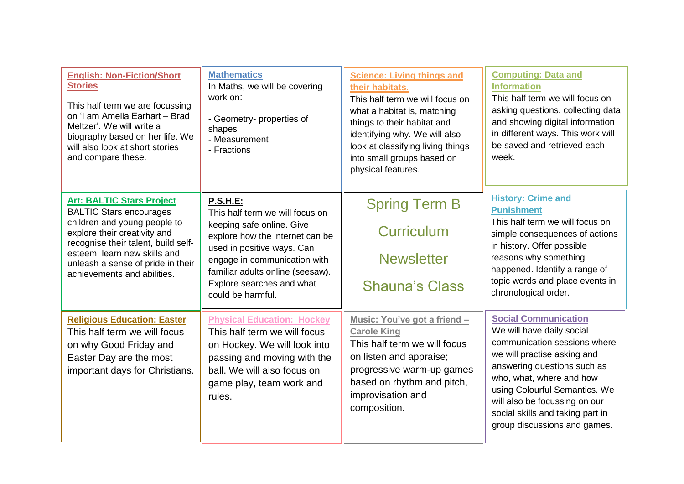| <b>English: Non-Fiction/Short</b><br><b>Stories</b><br>This half term we are focussing<br>on 'I am Amelia Earhart - Brad<br>Meltzer'. We will write a<br>biography based on her life. We<br>will also look at short stories<br>and compare these.                             | <b>Mathematics</b><br>In Maths, we will be covering<br>work on:<br>- Geometry- properties of<br>shapes<br>- Measurement<br>- Fractions                                                                                                                                 | <b>Science: Living things and</b><br>their habitats.<br>This half term we will focus on<br>what a habitat is, matching<br>things to their habitat and<br>identifying why. We will also<br>look at classifying living things<br>into small groups based on<br>physical features. | <b>Computing: Data and</b><br><b>Information</b><br>This half term we will focus on<br>asking questions, collecting data<br>and showing digital information<br>in different ways. This work will<br>be saved and retrieved each<br>week.                                                                                 |
|-------------------------------------------------------------------------------------------------------------------------------------------------------------------------------------------------------------------------------------------------------------------------------|------------------------------------------------------------------------------------------------------------------------------------------------------------------------------------------------------------------------------------------------------------------------|---------------------------------------------------------------------------------------------------------------------------------------------------------------------------------------------------------------------------------------------------------------------------------|--------------------------------------------------------------------------------------------------------------------------------------------------------------------------------------------------------------------------------------------------------------------------------------------------------------------------|
| <b>Art: BALTIC Stars Project</b><br><b>BALTIC Stars encourages</b><br>children and young people to<br>explore their creativity and<br>recognise their talent, build self-<br>esteem, learn new skills and<br>unleash a sense of pride in their<br>achievements and abilities. | <b>P.S.H.E:</b><br>This half term we will focus on<br>keeping safe online. Give<br>explore how the internet can be<br>used in positive ways. Can<br>engage in communication with<br>familiar adults online (seesaw).<br>Explore searches and what<br>could be harmful. | <b>Spring Term B</b><br><b>Curriculum</b><br><b>Newsletter</b><br><b>Shauna's Class</b>                                                                                                                                                                                         | <b>History: Crime and</b><br><b>Punishment</b><br>This half term we will focus on<br>simple consequences of actions<br>in history. Offer possible<br>reasons why something<br>happened. Identify a range of<br>topic words and place events in<br>chronological order.                                                   |
| <b>Religious Education: Easter</b><br>This half term we will focus<br>on why Good Friday and<br>Easter Day are the most<br>important days for Christians.                                                                                                                     | <b>Physical Education: Hockey</b><br>This half term we will focus<br>on Hockey. We will look into<br>passing and moving with the<br>ball. We will also focus on<br>game play, team work and<br>rules.                                                                  | Music: You've got a friend -<br><b>Carole King</b><br>This half term we will focus<br>on listen and appraise;<br>progressive warm-up games<br>based on rhythm and pitch,<br>improvisation and<br>composition.                                                                   | <b>Social Communication</b><br>We will have daily social<br>communication sessions where<br>we will practise asking and<br>answering questions such as<br>who, what, where and how<br>using Colourful Semantics. We<br>will also be focussing on our<br>social skills and taking part in<br>group discussions and games. |